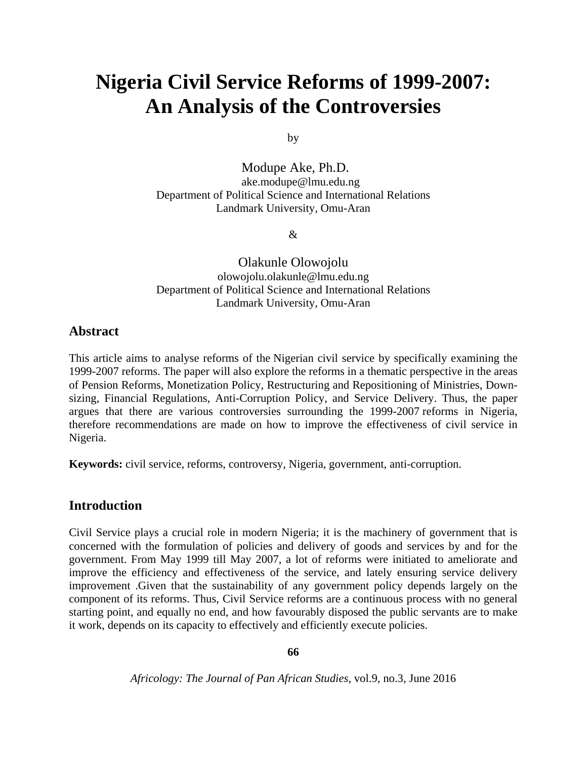# **Nigeria Civil Service Reforms of 1999-2007: An Analysis of the Controversies**

by

Modupe Ake, Ph.D. ake.modupe@lmu.edu.ng Department of Political Science and International Relations Landmark University, Omu-Aran

&

Olakunle Olowojolu olowojolu.olakunle@lmu.edu.ng Department of Political Science and International Relations Landmark University, Omu-Aran

## **Abstract**

This article aims to analyse reforms of the Nigerian civil service by specifically examining the 1999-2007 reforms. The paper will also explore the reforms in a thematic perspective in the areas of Pension Reforms, Monetization Policy, Restructuring and Repositioning of Ministries, Downsizing, Financial Regulations, Anti-Corruption Policy, and Service Delivery. Thus, the paper argues that there are various controversies surrounding the 1999-2007 reforms in Nigeria, therefore recommendations are made on how to improve the effectiveness of civil service in Nigeria.

**Keywords:** civil service, reforms, controversy, Nigeria, government, anti-corruption.

## **Introduction**

Civil Service plays a crucial role in modern Nigeria; it is the machinery of government that is concerned with the formulation of policies and delivery of goods and services by and for the government. From May 1999 till May 2007, a lot of reforms were initiated to ameliorate and improve the efficiency and effectiveness of the service, and lately ensuring service delivery improvement .Given that the sustainability of any government policy depends largely on the component of its reforms. Thus, Civil Service reforms are a continuous process with no general starting point, and equally no end, and how favourably disposed the public servants are to make it work, depends on its capacity to effectively and efficiently execute policies.

**66**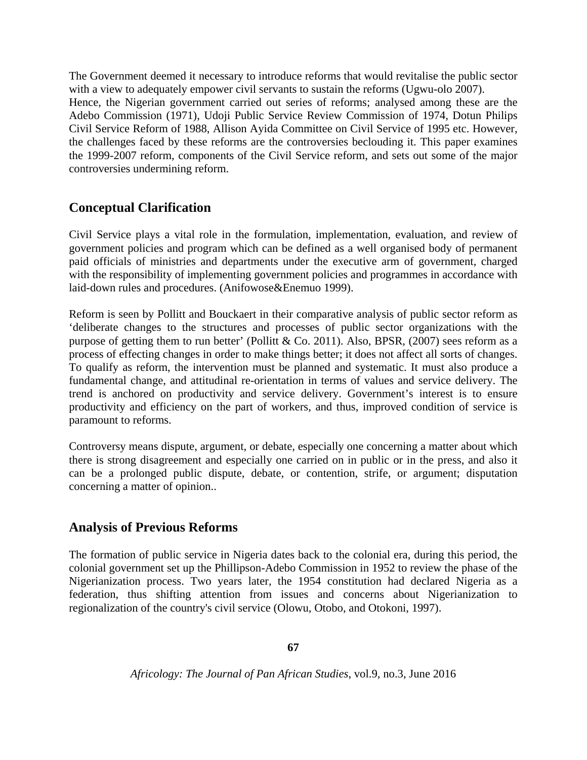The Government deemed it necessary to introduce reforms that would revitalise the public sector with a view to adequately empower civil servants to sustain the reforms (Ugwu-olo 2007). Hence, the Nigerian government carried out series of reforms; analysed among these are the Adebo Commission (1971), Udoji Public Service Review Commission of 1974, Dotun Philips Civil Service Reform of 1988, Allison Ayida Committee on Civil Service of 1995 etc. However, the challenges faced by these reforms are the controversies beclouding it. This paper examines the 1999-2007 reform, components of the Civil Service reform, and sets out some of the major controversies undermining reform.

# **Conceptual Clarification**

Civil Service plays a vital role in the formulation, implementation, evaluation, and review of government policies and program which can be defined as a well organised body of permanent paid officials of ministries and departments under the executive arm of government, charged with the responsibility of implementing government policies and programmes in accordance with laid-down rules and procedures. (Anifowose&Enemuo 1999).

Reform is seen by Pollitt and Bouckaert in their comparative analysis of public sector reform as 'deliberate changes to the structures and processes of public sector organizations with the purpose of getting them to run better' (Pollitt & Co. 2011). Also, BPSR,  $(2007)$  sees reform as a process of effecting changes in order to make things better; it does not affect all sorts of changes. To qualify as reform, the intervention must be planned and systematic. It must also produce a fundamental change, and attitudinal re-orientation in terms of values and service delivery. The trend is anchored on productivity and service delivery. Government's interest is to ensure productivity and efficiency on the part of workers, and thus, improved condition of service is paramount to reforms.

Controversy means dispute, argument, or debate, especially one concerning a matter about which there is strong disagreement and especially one carried on in public or in the press, and also it can be a prolonged public dispute, debate, or contention, strife, or argument; disputation concerning a matter of opinion..

# **Analysis of Previous Reforms**

The formation of public service in Nigeria dates back to the colonial era, during this period, the colonial government set up the Phillipson-Adebo Commission in 1952 to review the phase of the Nigerianization process. Two years later, the 1954 constitution had declared Nigeria as a federation, thus shifting attention from issues and concerns about Nigerianization to regionalization of the country's civil service (Olowu, Otobo, and Otokoni, 1997).

**67**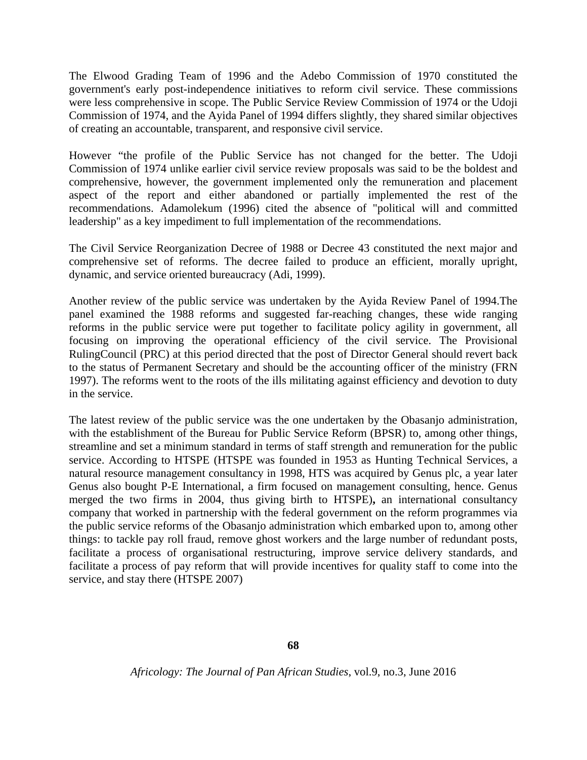The Elwood Grading Team of 1996 and the Adebo Commission of 1970 constituted the government's early post-independence initiatives to reform civil service. These commissions were less comprehensive in scope. The Public Service Review Commission of 1974 or the Udoji Commission of 1974, and the Ayida Panel of 1994 differs slightly, they shared similar objectives of creating an accountable, transparent, and responsive civil service.

However "the profile of the Public Service has not changed for the better. The Udoji Commission of 1974 unlike earlier civil service review proposals was said to be the boldest and comprehensive, however, the government implemented only the remuneration and placement aspect of the report and either abandoned or partially implemented the rest of the recommendations. Adamolekum (1996) cited the absence of "political will and committed leadership" as a key impediment to full implementation of the recommendations.

The Civil Service Reorganization Decree of 1988 or Decree 43 constituted the next major and comprehensive set of reforms. The decree failed to produce an efficient, morally upright, dynamic, and service oriented bureaucracy (Adi, 1999).

Another review of the public service was undertaken by the Ayida Review Panel of 1994.The panel examined the 1988 reforms and suggested far-reaching changes, these wide ranging reforms in the public service were put together to facilitate policy agility in government, all focusing on improving the operational efficiency of the civil service. The Provisional RulingCouncil (PRC) at this period directed that the post of Director General should revert back to the status of Permanent Secretary and should be the accounting officer of the ministry (FRN 1997). The reforms went to the roots of the ills militating against efficiency and devotion to duty in the service.

The latest review of the public service was the one undertaken by the Obasanjo administration, with the establishment of the Bureau for Public Service Reform (BPSR) to, among other things, streamline and set a minimum standard in terms of staff strength and remuneration for the public service. According to HTSPE (HTSPE was founded in 1953 as Hunting Technical Services, a natural resource management consultancy in 1998, HTS was acquired by Genus plc, a year later Genus also bought P-E International, a firm focused on management consulting, hence. Genus merged the two firms in 2004, thus giving birth to HTSPE)**,** an international consultancy company that worked in partnership with the federal government on the reform programmes via the public service reforms of the Obasanjo administration which embarked upon to, among other things: to tackle pay roll fraud, remove ghost workers and the large number of redundant posts, facilitate a process of organisational restructuring, improve service delivery standards, and facilitate a process of pay reform that will provide incentives for quality staff to come into the service, and stay there (HTSPE 2007)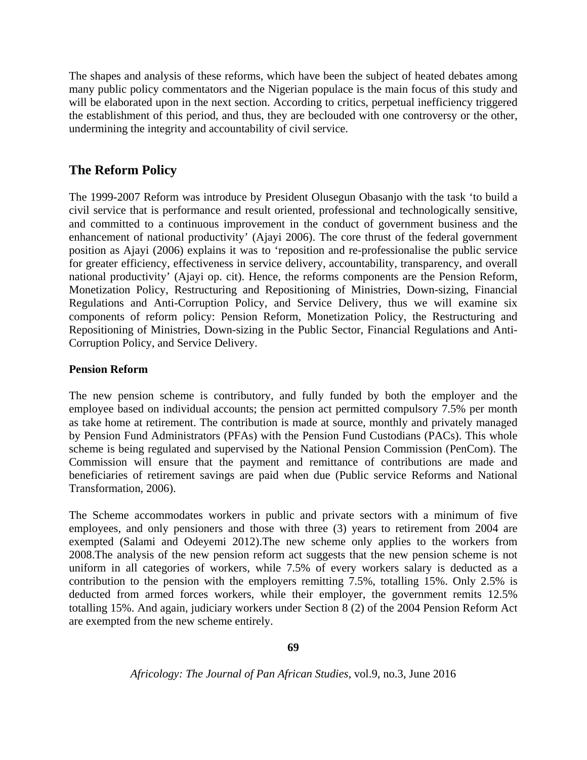The shapes and analysis of these reforms, which have been the subject of heated debates among many public policy commentators and the Nigerian populace is the main focus of this study and will be elaborated upon in the next section. According to critics, perpetual inefficiency triggered the establishment of this period, and thus, they are beclouded with one controversy or the other, undermining the integrity and accountability of civil service.

## **The Reform Policy**

The 1999-2007 Reform was introduce by President Olusegun Obasanjo with the task 'to build a civil service that is performance and result oriented, professional and technologically sensitive, and committed to a continuous improvement in the conduct of government business and the enhancement of national productivity' (Ajayi 2006). The core thrust of the federal government position as Ajayi (2006) explains it was to 'reposition and re-professionalise the public service for greater efficiency, effectiveness in service delivery, accountability, transparency, and overall national productivity' (Ajayi op. cit). Hence, the reforms components are the Pension Reform, Monetization Policy, Restructuring and Repositioning of Ministries, Down-sizing, Financial Regulations and Anti-Corruption Policy, and Service Delivery, thus we will examine six components of reform policy: Pension Reform, Monetization Policy, the Restructuring and Repositioning of Ministries, Down-sizing in the Public Sector, Financial Regulations and Anti-Corruption Policy, and Service Delivery.

## **Pension Reform**

The new pension scheme is contributory, and fully funded by both the employer and the employee based on individual accounts; the pension act permitted compulsory 7.5% per month as take home at retirement. The contribution is made at source, monthly and privately managed by Pension Fund Administrators (PFAs) with the Pension Fund Custodians (PACs). This whole scheme is being regulated and supervised by the National Pension Commission (PenCom). The Commission will ensure that the payment and remittance of contributions are made and beneficiaries of retirement savings are paid when due (Public service Reforms and National Transformation, 2006).

The Scheme accommodates workers in public and private sectors with a minimum of five employees, and only pensioners and those with three (3) years to retirement from 2004 are exempted (Salami and Odeyemi 2012).The new scheme only applies to the workers from 2008.The analysis of the new pension reform act suggests that the new pension scheme is not uniform in all categories of workers, while 7.5% of every workers salary is deducted as a contribution to the pension with the employers remitting 7.5%, totalling 15%. Only 2.5% is deducted from armed forces workers, while their employer, the government remits 12.5% totalling 15%. And again, judiciary workers under Section 8 (2) of the 2004 Pension Reform Act are exempted from the new scheme entirely.

**69**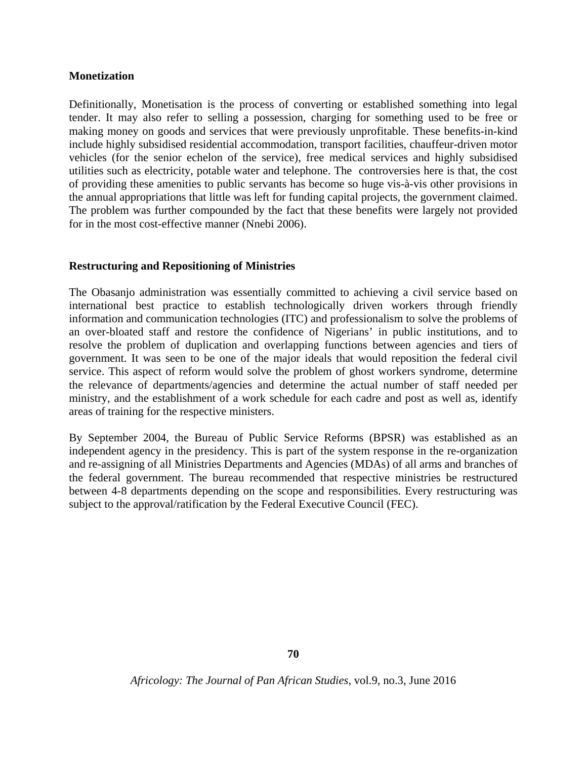#### **Monetization**

Definitionally, Monetisation is the process of converting or established something into legal tender. It may also refer to selling a possession, charging for something used to be free or making money on goods and services that were previously unprofitable. These benefits-in-kind include highly subsidised residential accommodation, transport facilities, chauffeur-driven motor vehicles (for the senior echelon of the service), free medical services and highly subsidised utilities such as electricity, potable water and telephone. The controversies here is that, the cost of providing these amenities to public servants has become so huge vis-à-vis other provisions in the annual appropriations that little was left for funding capital projects, the government claimed. The problem was further compounded by the fact that these benefits were largely not provided for in the most cost-effective manner (Nnebi 2006).

#### **Restructuring and Repositioning of Ministries**

The Obasanjo administration was essentially committed to achieving a civil service based on international best practice to establish technologically driven workers through friendly information and communication technologies (ITC) and professionalism to solve the problems of an over-bloated staff and restore the confidence of Nigerians' in public institutions, and to resolve the problem of duplication and overlapping functions between agencies and tiers of government. It was seen to be one of the major ideals that would reposition the federal civil service. This aspect of reform would solve the problem of ghost workers syndrome, determine the relevance of departments/agencies and determine the actual number of staff needed per ministry, and the establishment of a work schedule for each cadre and post as well as, identify areas of training for the respective ministers.

By September 2004, the Bureau of Public Service Reforms (BPSR) was established as an independent agency in the presidency. This is part of the system response in the re-organization and re-assigning of all Ministries Departments and Agencies (MDAs) of all arms and branches of the federal government. The bureau recommended that respective ministries be restructured between 4-8 departments depending on the scope and responsibilities. Every restructuring was subject to the approval/ratification by the Federal Executive Council (FEC).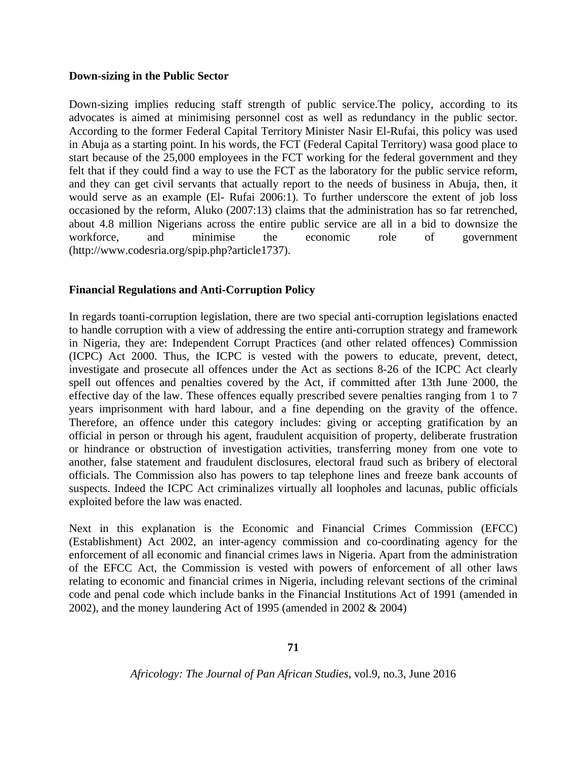#### **Down-sizing in the Public Sector**

Down-sizing implies reducing staff strength of public service.The policy, according to its advocates is aimed at minimising personnel cost as well as redundancy in the public sector. According to the former Federal Capital Territory Minister Nasir El-Rufai, this policy was used in Abuja as a starting point. In his words, the FCT (Federal Capital Territory) wasa good place to start because of the 25,000 employees in the FCT working for the federal government and they felt that if they could find a way to use the FCT as the laboratory for the public service reform, and they can get civil servants that actually report to the needs of business in Abuja, then, it would serve as an example (El- Rufai 2006:1). To further underscore the extent of job loss occasioned by the reform, Aluko (2007:13) claims that the administration has so far retrenched, about 4.8 million Nigerians across the entire public service are all in a bid to downsize the workforce, and minimise the economic role of government (http://www.codesria.org/spip.php?article1737).

#### **Financial Regulations and Anti-Corruption Policy**

In regards toanti-corruption legislation, there are two special anti-corruption legislations enacted to handle corruption with a view of addressing the entire anti-corruption strategy and framework in Nigeria, they are: Independent Corrupt Practices (and other related offences) Commission (ICPC) Act 2000. Thus, the ICPC is vested with the powers to educate, prevent, detect, investigate and prosecute all offences under the Act as sections 8-26 of the ICPC Act clearly spell out offences and penalties covered by the Act, if committed after 13th June 2000, the effective day of the law. These offences equally prescribed severe penalties ranging from 1 to 7 years imprisonment with hard labour, and a fine depending on the gravity of the offence. Therefore, an offence under this category includes: giving or accepting gratification by an official in person or through his agent, fraudulent acquisition of property, deliberate frustration or hindrance or obstruction of investigation activities, transferring money from one vote to another, false statement and fraudulent disclosures, electoral fraud such as bribery of electoral officials. The Commission also has powers to tap telephone lines and freeze bank accounts of suspects. Indeed the ICPC Act criminalizes virtually all loopholes and lacunas, public officials exploited before the law was enacted.

Next in this explanation is the Economic and Financial Crimes Commission (EFCC) (Establishment) Act 2002, an inter-agency commission and co-coordinating agency for the enforcement of all economic and financial crimes laws in Nigeria. Apart from the administration of the EFCC Act, the Commission is vested with powers of enforcement of all other laws relating to economic and financial crimes in Nigeria, including relevant sections of the criminal code and penal code which include banks in the Financial Institutions Act of 1991 (amended in 2002), and the money laundering Act of 1995 (amended in 2002 & 2004)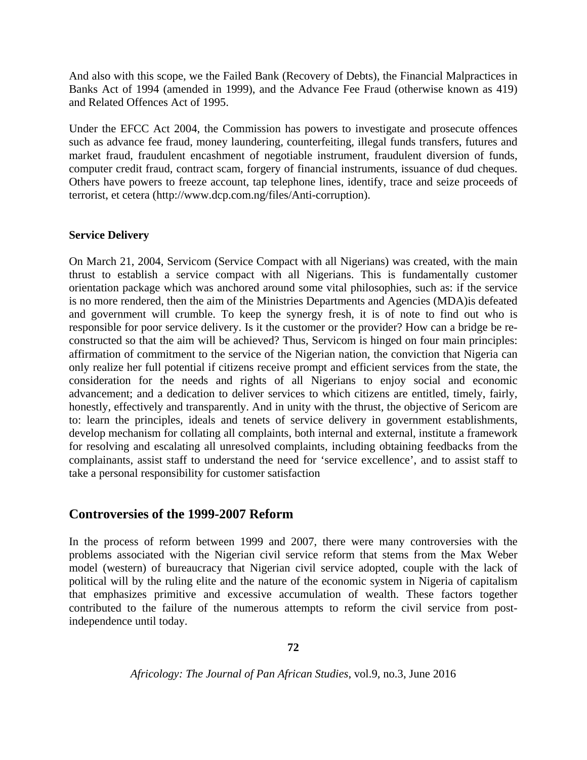And also with this scope, we the Failed Bank (Recovery of Debts), the Financial Malpractices in Banks Act of 1994 (amended in 1999), and the Advance Fee Fraud (otherwise known as 419) and Related Offences Act of 1995.

Under the EFCC Act 2004, the Commission has powers to investigate and prosecute offences such as advance fee fraud, money laundering, counterfeiting, illegal funds transfers, futures and market fraud, fraudulent encashment of negotiable instrument, fraudulent diversion of funds, computer credit fraud, contract scam, forgery of financial instruments, issuance of dud cheques. Others have powers to freeze account, tap telephone lines, identify, trace and seize proceeds of terrorist, et cetera (http://www.dcp.com.ng/files/Anti-corruption).

#### **Service Delivery**

On March 21, 2004, Servicom (Service Compact with all Nigerians) was created, with the main thrust to establish a service compact with all Nigerians. This is fundamentally customer orientation package which was anchored around some vital philosophies, such as: if the service is no more rendered, then the aim of the Ministries Departments and Agencies (MDA)is defeated and government will crumble. To keep the synergy fresh, it is of note to find out who is responsible for poor service delivery. Is it the customer or the provider? How can a bridge be reconstructed so that the aim will be achieved? Thus, Servicom is hinged on four main principles: affirmation of commitment to the service of the Nigerian nation, the conviction that Nigeria can only realize her full potential if citizens receive prompt and efficient services from the state, the consideration for the needs and rights of all Nigerians to enjoy social and economic advancement; and a dedication to deliver services to which citizens are entitled, timely, fairly, honestly, effectively and transparently. And in unity with the thrust, the objective of Sericom are to: learn the principles, ideals and tenets of service delivery in government establishments, develop mechanism for collating all complaints, both internal and external, institute a framework for resolving and escalating all unresolved complaints, including obtaining feedbacks from the complainants, assist staff to understand the need for 'service excellence', and to assist staff to take a personal responsibility for customer satisfaction

## **Controversies of the 1999-2007 Reform**

In the process of reform between 1999 and 2007, there were many controversies with the problems associated with the Nigerian civil service reform that stems from the Max Weber model (western) of bureaucracy that Nigerian civil service adopted, couple with the lack of political will by the ruling elite and the nature of the economic system in Nigeria of capitalism that emphasizes primitive and excessive accumulation of wealth. These factors together contributed to the failure of the numerous attempts to reform the civil service from postindependence until today.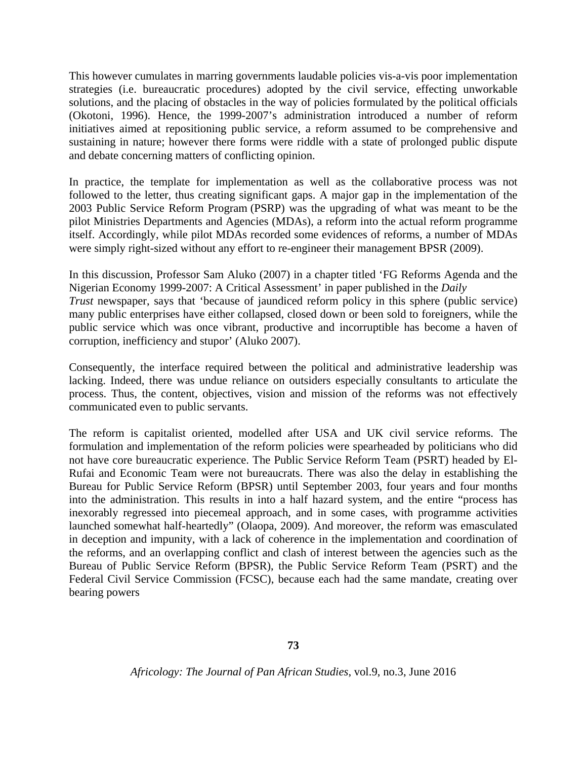This however cumulates in marring governments laudable policies vis-a-vis poor implementation strategies (i.e. bureaucratic procedures) adopted by the civil service, effecting unworkable solutions, and the placing of obstacles in the way of policies formulated by the political officials (Okotoni, 1996). Hence, the 1999-2007's administration introduced a number of reform initiatives aimed at repositioning public service, a reform assumed to be comprehensive and sustaining in nature; however there forms were riddle with a state of prolonged public dispute and debate concerning matters of conflicting opinion.

In practice, the template for implementation as well as the collaborative process was not followed to the letter, thus creating significant gaps. A major gap in the implementation of the 2003 Public Service Reform Program (PSRP) was the upgrading of what was meant to be the pilot Ministries Departments and Agencies (MDAs), a reform into the actual reform programme itself. Accordingly, while pilot MDAs recorded some evidences of reforms, a number of MDAs were simply right-sized without any effort to re-engineer their management BPSR (2009).

In this discussion, Professor Sam Aluko (2007) in a chapter titled 'FG Reforms Agenda and the Nigerian Economy 1999-2007: A Critical Assessment' in paper published in the *Daily Trust* newspaper, says that 'because of jaundiced reform policy in this sphere (public service) many public enterprises have either collapsed, closed down or been sold to foreigners, while the public service which was once vibrant, productive and incorruptible has become a haven of corruption, inefficiency and stupor' (Aluko 2007).

Consequently, the interface required between the political and administrative leadership was lacking. Indeed, there was undue reliance on outsiders especially consultants to articulate the process. Thus, the content, objectives, vision and mission of the reforms was not effectively communicated even to public servants.

The reform is capitalist oriented, modelled after USA and UK civil service reforms. The formulation and implementation of the reform policies were spearheaded by politicians who did not have core bureaucratic experience. The Public Service Reform Team (PSRT) headed by El-Rufai and Economic Team were not bureaucrats. There was also the delay in establishing the Bureau for Public Service Reform (BPSR) until September 2003, four years and four months into the administration. This results in into a half hazard system, and the entire "process has inexorably regressed into piecemeal approach, and in some cases, with programme activities launched somewhat half-heartedly" (Olaopa, 2009). And moreover, the reform was emasculated in deception and impunity, with a lack of coherence in the implementation and coordination of the reforms, and an overlapping conflict and clash of interest between the agencies such as the Bureau of Public Service Reform (BPSR), the Public Service Reform Team (PSRT) and the Federal Civil Service Commission (FCSC), because each had the same mandate, creating over bearing powers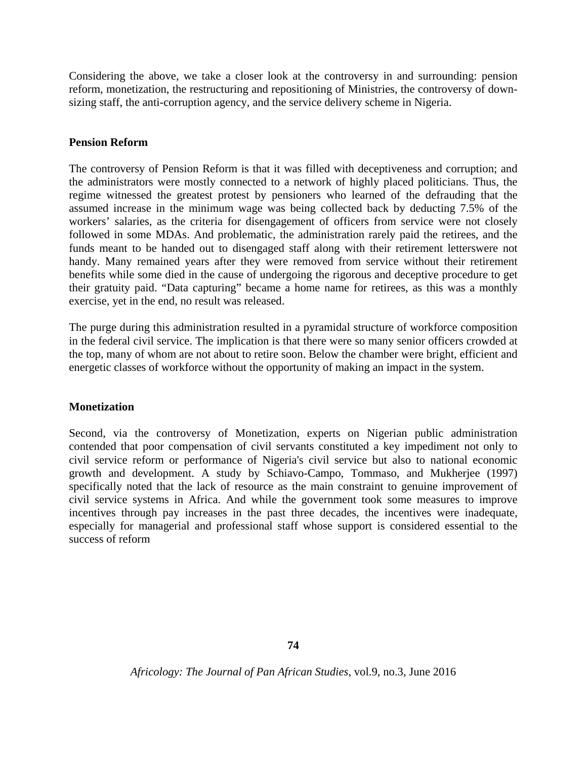Considering the above, we take a closer look at the controversy in and surrounding: pension reform, monetization, the restructuring and repositioning of Ministries, the controversy of downsizing staff, the anti-corruption agency, and the service delivery scheme in Nigeria.

#### **Pension Reform**

The controversy of Pension Reform is that it was filled with deceptiveness and corruption; and the administrators were mostly connected to a network of highly placed politicians. Thus, the regime witnessed the greatest protest by pensioners who learned of the defrauding that the assumed increase in the minimum wage was being collected back by deducting 7.5% of the workers' salaries, as the criteria for disengagement of officers from service were not closely followed in some MDAs. And problematic, the administration rarely paid the retirees, and the funds meant to be handed out to disengaged staff along with their retirement letterswere not handy. Many remained years after they were removed from service without their retirement benefits while some died in the cause of undergoing the rigorous and deceptive procedure to get their gratuity paid. "Data capturing" became a home name for retirees, as this was a monthly exercise, yet in the end, no result was released.

The purge during this administration resulted in a pyramidal structure of workforce composition in the federal civil service. The implication is that there were so many senior officers crowded at the top, many of whom are not about to retire soon. Below the chamber were bright, efficient and energetic classes of workforce without the opportunity of making an impact in the system.

#### **Monetization**

Second, via the controversy of Monetization, experts on Nigerian public administration contended that poor compensation of civil servants constituted a key impediment not only to civil service reform or performance of Nigeria's civil service but also to national economic growth and development. A study by Schiavo-Campo, Tommaso, and Mukherjee (1997) specifically noted that the lack of resource as the main constraint to genuine improvement of civil service systems in Africa. And while the government took some measures to improve incentives through pay increases in the past three decades, the incentives were inadequate, especially for managerial and professional staff whose support is considered essential to the success of reform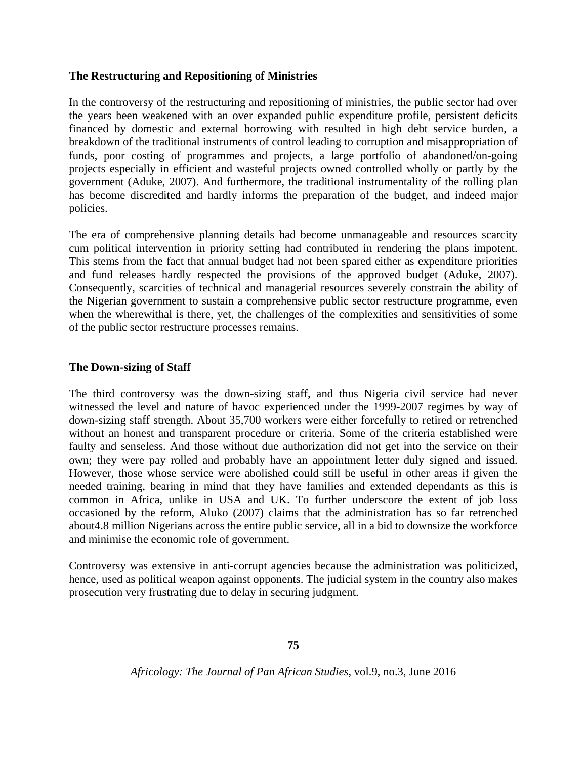#### **The Restructuring and Repositioning of Ministries**

In the controversy of the restructuring and repositioning of ministries, the public sector had over the years been weakened with an over expanded public expenditure profile, persistent deficits financed by domestic and external borrowing with resulted in high debt service burden, a breakdown of the traditional instruments of control leading to corruption and misappropriation of funds, poor costing of programmes and projects, a large portfolio of abandoned/on-going projects especially in efficient and wasteful projects owned controlled wholly or partly by the government (Aduke, 2007). And furthermore, the traditional instrumentality of the rolling plan has become discredited and hardly informs the preparation of the budget, and indeed major policies.

The era of comprehensive planning details had become unmanageable and resources scarcity cum political intervention in priority setting had contributed in rendering the plans impotent. This stems from the fact that annual budget had not been spared either as expenditure priorities and fund releases hardly respected the provisions of the approved budget (Aduke, 2007). Consequently, scarcities of technical and managerial resources severely constrain the ability of the Nigerian government to sustain a comprehensive public sector restructure programme, even when the wherewithal is there, yet, the challenges of the complexities and sensitivities of some of the public sector restructure processes remains.

#### **The Down-sizing of Staff**

The third controversy was the down-sizing staff, and thus Nigeria civil service had never witnessed the level and nature of havoc experienced under the 1999-2007 regimes by way of down-sizing staff strength. About 35,700 workers were either forcefully to retired or retrenched without an honest and transparent procedure or criteria. Some of the criteria established were faulty and senseless. And those without due authorization did not get into the service on their own; they were pay rolled and probably have an appointment letter duly signed and issued. However, those whose service were abolished could still be useful in other areas if given the needed training, bearing in mind that they have families and extended dependants as this is common in Africa, unlike in USA and UK. To further underscore the extent of job loss occasioned by the reform, Aluko (2007) claims that the administration has so far retrenched about4.8 million Nigerians across the entire public service, all in a bid to downsize the workforce and minimise the economic role of government.

Controversy was extensive in anti-corrupt agencies because the administration was politicized, hence, used as political weapon against opponents. The judicial system in the country also makes prosecution very frustrating due to delay in securing judgment.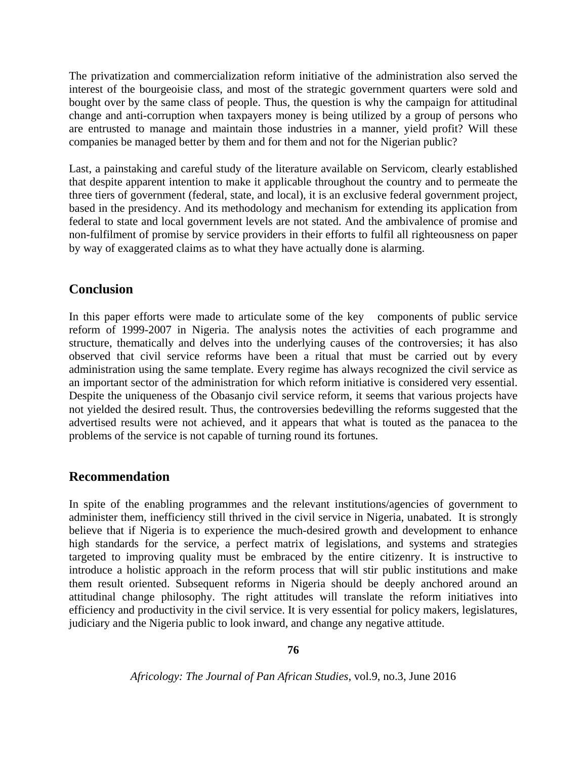The privatization and commercialization reform initiative of the administration also served the interest of the bourgeoisie class, and most of the strategic government quarters were sold and bought over by the same class of people. Thus, the question is why the campaign for attitudinal change and anti-corruption when taxpayers money is being utilized by a group of persons who are entrusted to manage and maintain those industries in a manner, yield profit? Will these companies be managed better by them and for them and not for the Nigerian public?

Last, a painstaking and careful study of the literature available on Servicom, clearly established that despite apparent intention to make it applicable throughout the country and to permeate the three tiers of government (federal, state, and local), it is an exclusive federal government project, based in the presidency. And its methodology and mechanism for extending its application from federal to state and local government levels are not stated. And the ambivalence of promise and non-fulfilment of promise by service providers in their efforts to fulfil all righteousness on paper by way of exaggerated claims as to what they have actually done is alarming.

# **Conclusion**

In this paper efforts were made to articulate some of the key components of public service reform of 1999-2007 in Nigeria. The analysis notes the activities of each programme and structure, thematically and delves into the underlying causes of the controversies; it has also observed that civil service reforms have been a ritual that must be carried out by every administration using the same template. Every regime has always recognized the civil service as an important sector of the administration for which reform initiative is considered very essential. Despite the uniqueness of the Obasanjo civil service reform, it seems that various projects have not yielded the desired result. Thus, the controversies bedevilling the reforms suggested that the advertised results were not achieved, and it appears that what is touted as the panacea to the problems of the service is not capable of turning round its fortunes.

# **Recommendation**

In spite of the enabling programmes and the relevant institutions/agencies of government to administer them, inefficiency still thrived in the civil service in Nigeria, unabated. It is strongly believe that if Nigeria is to experience the much-desired growth and development to enhance high standards for the service, a perfect matrix of legislations, and systems and strategies targeted to improving quality must be embraced by the entire citizenry. It is instructive to introduce a holistic approach in the reform process that will stir public institutions and make them result oriented. Subsequent reforms in Nigeria should be deeply anchored around an attitudinal change philosophy. The right attitudes will translate the reform initiatives into efficiency and productivity in the civil service. It is very essential for policy makers, legislatures, judiciary and the Nigeria public to look inward, and change any negative attitude.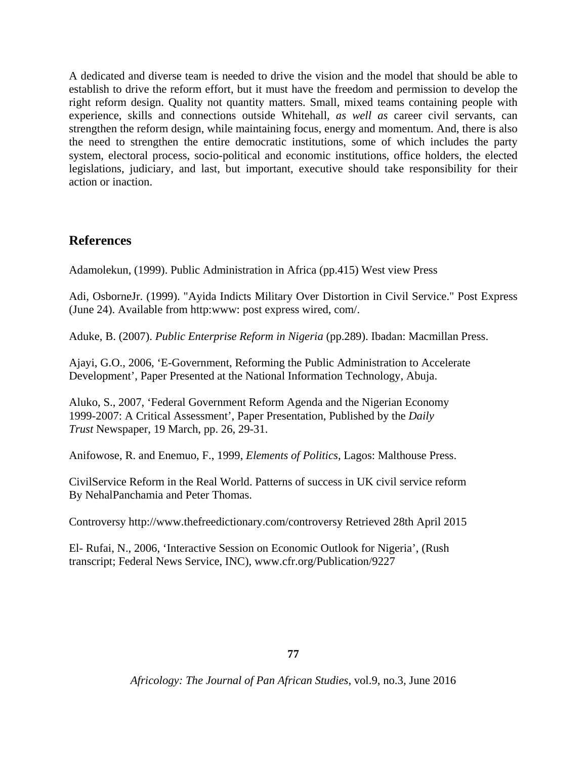A dedicated and diverse team is needed to drive the vision and the model that should be able to establish to drive the reform effort, but it must have the freedom and permission to develop the right reform design. Quality not quantity matters. Small, mixed teams containing people with experience, skills and connections outside Whitehall, *as well as* career civil servants, can strengthen the reform design, while maintaining focus, energy and momentum. And, there is also the need to strengthen the entire democratic institutions, some of which includes the party system, electoral process, socio-political and economic institutions, office holders, the elected legislations, judiciary, and last, but important, executive should take responsibility for their action or inaction.

## **References**

Adamolekun, (1999). Public Administration in Africa (pp.415) West view Press

Adi, OsborneJr. (1999). "Ayida Indicts Military Over Distortion in Civil Service." Post Express (June 24). Available from http:www: post express wired, com/.

Aduke, B. (2007). *Public Enterprise Reform in Nigeria* (pp.289). Ibadan: Macmillan Press.

Ajayi, G.O., 2006, 'E-Government, Reforming the Public Administration to Accelerate Development', Paper Presented at the National Information Technology, Abuja.

Aluko, S., 2007, 'Federal Government Reform Agenda and the Nigerian Economy 1999-2007: A Critical Assessment', Paper Presentation, Published by the *Daily Trust* Newspaper, 19 March, pp. 26, 29-31.

Anifowose, R. and Enemuo, F., 1999, *Elements of Politics*, Lagos: Malthouse Press.

CivilService Reform in the Real World. Patterns of success in UK civil service reform By NehalPanchamia and Peter Thomas.

Controversy [http://www.thefreedictionary.com/controversy Retrieved 28th April 2015](http://www.thefreedictionary.com/controversy%20Retrieved%2028th%20April%202015)

El- Rufai, N., 2006, 'Interactive Session on Economic Outlook for Nigeria', (Rush transcript; Federal News Service, INC), [www.cfr.org/Publication/9227](http://www.cfr.org/Publication/9227)